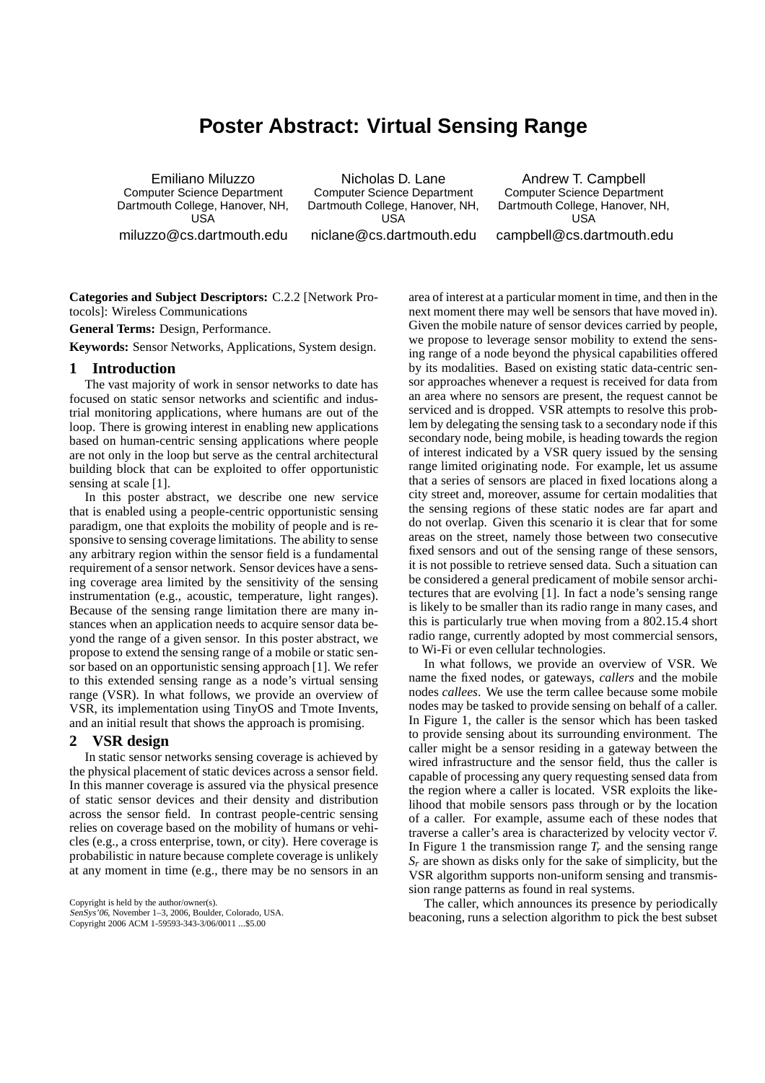# **Poster Abstract: Virtual Sensing Range**

Emiliano Miluzzo Computer Science Department Dartmouth College, Hanover, NH, USA miluzzo@cs.dartmouth.edu

Nicholas D. Lane Computer Science Department Dartmouth College, Hanover, NH, USA niclane@cs.dartmouth.edu

Andrew T. Campbell Computer Science Department Dartmouth College, Hanover, NH, USA campbell@cs.dartmouth.edu

**Categories and Subject Descriptors:** C.2.2 [Network Protocols]: Wireless Communications

**General Terms:** Design, Performance.

**Keywords:** Sensor Networks, Applications, System design.

## **1 Introduction**

The vast majority of work in sensor networks to date has focused on static sensor networks and scientific and industrial monitoring applications, where humans are out of the loop. There is growing interest in enabling new applications based on human-centric sensing applications where people are not only in the loop but serve as the central architectural building block that can be exploited to offer opportunistic sensing at scale [1].

In this poster abstract, we describe one new service that is enabled using a people-centric opportunistic sensing paradigm, one that exploits the mobility of people and is responsive to sensing coverage limitations. The ability to sense any arbitrary region within the sensor field is a fundamental requirement of a sensor network. Sensor devices have a sensing coverage area limited by the sensitivity of the sensing instrumentation (e.g., acoustic, temperature, light ranges). Because of the sensing range limitation there are many instances when an application needs to acquire sensor data beyond the range of a given sensor. In this poster abstract, we propose to extend the sensing range of a mobile or static sensor based on an opportunistic sensing approach [1]. We refer to this extended sensing range as a node's virtual sensing range (VSR). In what follows, we provide an overview of VSR, its implementation using TinyOS and Tmote Invents, and an initial result that shows the approach is promising.

### **2 VSR design**

In static sensor networks sensing coverage is achieved by the physical placement of static devices across a sensor field. In this manner coverage is assured via the physical presence of static sensor devices and their density and distribution across the sensor field. In contrast people-centric sensing relies on coverage based on the mobility of humans or vehicles (e.g., a cross enterprise, town, or city). Here coverage is probabilistic in nature because complete coverage is unlikely at any moment in time (e.g., there may be no sensors in an

Copyright is held by the author/owner(s).

SenSys'06, November 1–3, 2006, Boulder, Colorado, USA.

Copyright 2006 ACM 1-59593-343-3/06/0011 ...\$5.00

area of interest at a particular moment in time, and then in the next moment there may well be sensors that have moved in). Given the mobile nature of sensor devices carried by people, we propose to leverage sensor mobility to extend the sensing range of a node beyond the physical capabilities offered by its modalities. Based on existing static data-centric sensor approaches whenever a request is received for data from an area where no sensors are present, the request cannot be serviced and is dropped. VSR attempts to resolve this problem by delegating the sensing task to a secondary node if this secondary node, being mobile, is heading towards the region of interest indicated by a VSR query issued by the sensing range limited originating node. For example, let us assume that a series of sensors are placed in fixed locations along a city street and, moreover, assume for certain modalities that the sensing regions of these static nodes are far apart and do not overlap. Given this scenario it is clear that for some areas on the street, namely those between two consecutive fixed sensors and out of the sensing range of these sensors, it is not possible to retrieve sensed data. Such a situation can be considered a general predicament of mobile sensor architectures that are evolving [1]. In fact a node's sensing range is likely to be smaller than its radio range in many cases, and this is particularly true when moving from a 802.15.4 short radio range, currently adopted by most commercial sensors, to Wi-Fi or even cellular technologies.

In what follows, we provide an overview of VSR. We name the fixed nodes, or gateways, *callers* and the mobile nodes *callees*. We use the term callee because some mobile nodes may be tasked to provide sensing on behalf of a caller. In Figure 1, the caller is the sensor which has been tasked to provide sensing about its surrounding environment. The caller might be a sensor residing in a gateway between the wired infrastructure and the sensor field, thus the caller is capable of processing any query requesting sensed data from the region where a caller is located. VSR exploits the likelihood that mobile sensors pass through or by the location of a caller. For example, assume each of these nodes that traverse a caller's area is characterized by velocity vector  $\vec{v}$ . In Figure 1 the transmission range  $T_r$  and the sensing range *S<sup>r</sup>* are shown as disks only for the sake of simplicity, but the VSR algorithm supports non-uniform sensing and transmission range patterns as found in real systems.

The caller, which announces its presence by periodically beaconing, runs a selection algorithm to pick the best subset